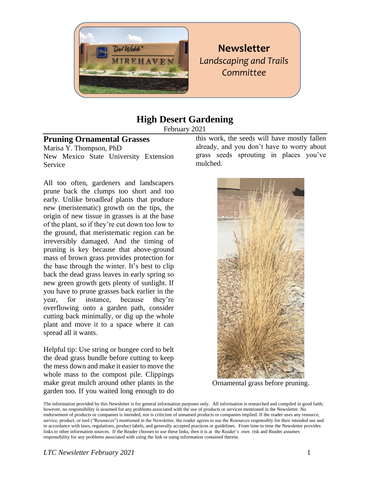

# **Newsletter** *Landscaping and Trails Committee*

## **High Desert Gardening**

February 2021

#### **Pruning Ornamental Grasses**

Marisa Y. Thompson, PhD New Mexico State University Extension Service

All too often, gardeners and landscapers prune back the clumps too short and too early. Unlike broadleaf plants that produce new (meristematic) growth on the tips, the origin of new tissue in grasses is at the base of the plant, so if they're cut down too low to the ground, that meristematic region can be irreversibly damaged. And the timing of pruning is key because that above-ground mass of brown grass provides protection for the base through the winter. It's best to clip back the dead grass leaves in early spring so new green growth gets plenty of sunlight. If you have to prune grasses back earlier in the year, for instance, because they're overflowing onto a garden path, consider cutting back minimally, or dig up the whole plant and move it to a space where it can spread all it wants.

Helpful tip: Use string or bungee cord to belt the dead grass bundle before cutting to keep the mess down and make it easier to move the whole mass to the compost pile. Clippings make great mulch around other plants in the garden too. If you waited long enough to do

this work, the seeds will have mostly fallen already, and you don't have to worry about grass seeds sprouting in places you've mulched.



Ornamental grass before pruning.

The information provided by this Newsletter is for general information purposes only. All information is researched and compiled in good faith; however, no responsibility is assumed for any problems associated with the use of products or services mentioned in the Newsletter. No endorsement of products or companies is intended, nor is criticism of unnamed products or companies implied. If the reader uses any resource, service, product, or tool ("Resources") mentioned in the Newsletter, the reader agrees to use the Resources responsibly for their intended use and in accordance with laws, regulations, product labels, and generally accepted practices or guidelines. From time to time the Newsletter provides links to other information sources. If the Reader chooses to use these links, then it is at the Reader's own risk and Reader assumes responsibility for any problems associated with using the link or using information contained therein.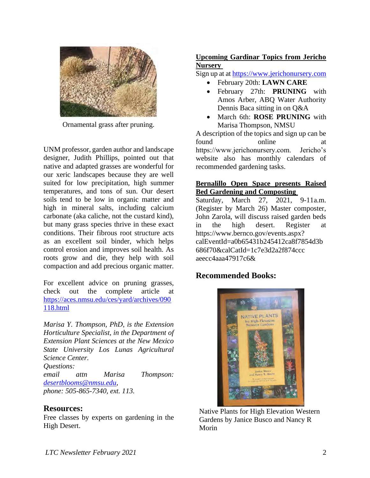

Ornamental grass after pruning.

UNM professor, garden author and landscape designer, Judith Phillips, pointed out that native and adapted grasses are wonderful for our xeric landscapes because they are well suited for low precipitation, high summer temperatures, and tons of sun. Our desert soils tend to be low in organic matter and high in mineral salts, including calcium carbonate (aka caliche, not the custard kind), but many grass species thrive in these exact conditions. Their fibrous root structure acts as an excellent soil binder, which helps control erosion and improves soil health. As roots grow and die, they help with soil compaction and add precious organic matter.

For excellent advice on pruning grasses, check out the complete article at [https://aces.nmsu.edu/ces/yard/archives/090](https://aces.nmsu.edu/ces/yard/archives/090118.html) [118.html](https://aces.nmsu.edu/ces/yard/archives/090118.html)

*Marisa Y. Thompson, PhD, is the Extension Horticulture Specialist, in the Department of Extension Plant Sciences at the New Mexico State University Los Lunas Agricultural Science Center. Questions: email attn Marisa Thompson: [desertblooms@nmsu.edu,](mailto:desertblooms@nmsu.edu) phone: 505-865-7340, ext. 113.* 

#### **Resources:**

Free classes by experts on gardening in the High Desert.

#### **Upcoming Gardinar Topics from Jericho Nursery**

Sign up at a[t https://www.jerichonursery.com](https://www.jerichonursery.com/)

- February 20th: **LAWN CARE**
- February 27th: **PRUNING** with Amos Arber, ABQ Water Authority Dennis Baca sitting in on Q&A
- March 6th: **ROSE PRUNING** with Marisa Thompson, NMSU

A description of the topics and sign up can be found online at https://www.jerichonursery.com. Jericho's website also has monthly calendars of recommended gardening tasks.

#### **Bernalillo Open Space presents Raised Bed Gardening and Composting**

Saturday, March 27, 2021, 9-11a.m. (Register by March 26) Master composter, John Zarola, will discuss raised garden beds in the high desert. Register at https://www.bernco.gov/events.aspx? calEventId=a0b65431b245412ca8f7854d3b 686f70&calCatId=1c7e3d2a2f874ccc aeecc4aaa47917c6&

### **Recommended Books:**



Native Plants for High Elevation Western Gardens by Janice Busco and Nancy R Morin